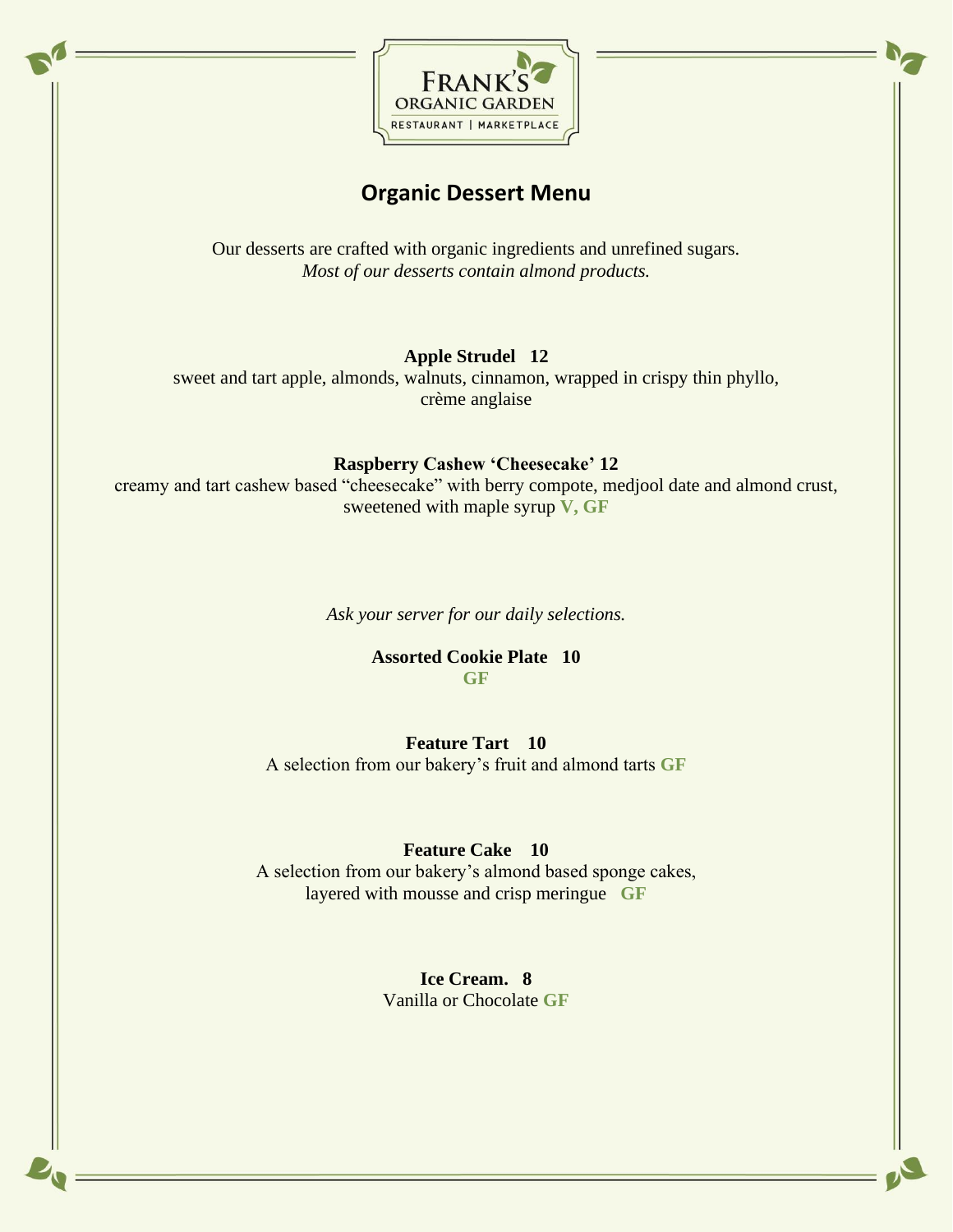

## **Organic Dessert Menu**

Our desserts are crafted with organic ingredients and unrefined sugars. *Most of our desserts contain almond products.* 

#### **Apple Strudel 12**

sweet and tart apple, almonds, walnuts, cinnamon, wrapped in crispy thin phyllo, crème anglaise

#### **Raspberry Cashew 'Cheesecake' 12**

creamy and tart cashew based "cheesecake" with berry compote, medjool date and almond crust, sweetened with maple syrup **V, GF**

*Ask your server for our daily selections.*

**Assorted Cookie Plate 10 GF**

**Feature Tart 10**

A selection from our bakery's fruit and almond tarts **GF**

### **Feature Cake 10**

A selection from our bakery's almond based sponge cakes, layered with mousse and crisp meringue **GF**

> **Ice Cream. 8** Vanilla or Chocolate **GF**